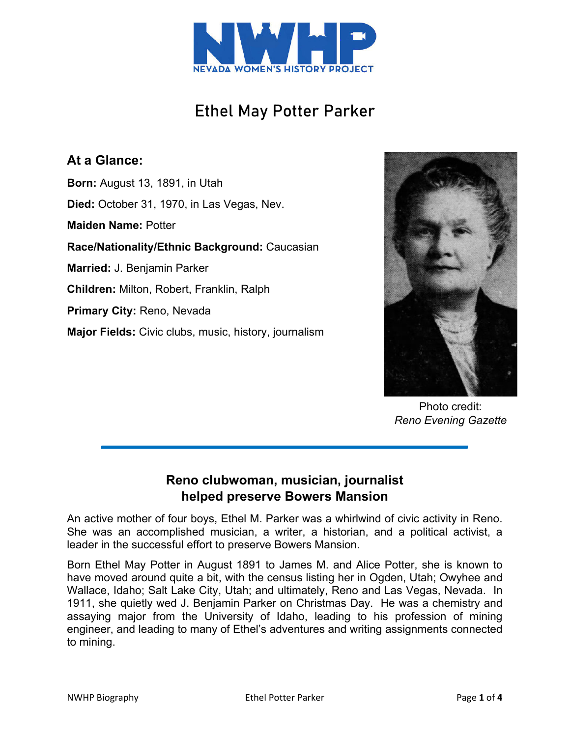

# Ethel May Potter Parker

## **At a Glance:**

**Born:** August 13, 1891, in Utah **Died:** October 31, 1970, in Las Vegas, Nev. **Maiden Name:** Potter **Race/Nationality/Ethnic Background:** Caucasian **Married:** J. Benjamin Parker **Children:** Milton, Robert, Franklin, Ralph **Primary City:** Reno, Nevada **Major Fields:** Civic clubs, music, history, journalism



Photo credit: *Reno Evening Gazette*

### **Reno clubwoman, musician, journalist helped preserve Bowers Mansion**

An active mother of four boys, Ethel M. Parker was a whirlwind of civic activity in Reno. She was an accomplished musician, a writer, a historian, and a political activist, a leader in the successful effort to preserve Bowers Mansion.

Born Ethel May Potter in August 1891 to James M. and Alice Potter, she is known to have moved around quite a bit, with the census listing her in Ogden, Utah; Owyhee and Wallace, Idaho; Salt Lake City, Utah; and ultimately, Reno and Las Vegas, Nevada. In 1911, she quietly wed J. Benjamin Parker on Christmas Day. He was a chemistry and assaying major from the University of Idaho, leading to his profession of mining engineer, and leading to many of Ethel's adventures and writing assignments connected to mining.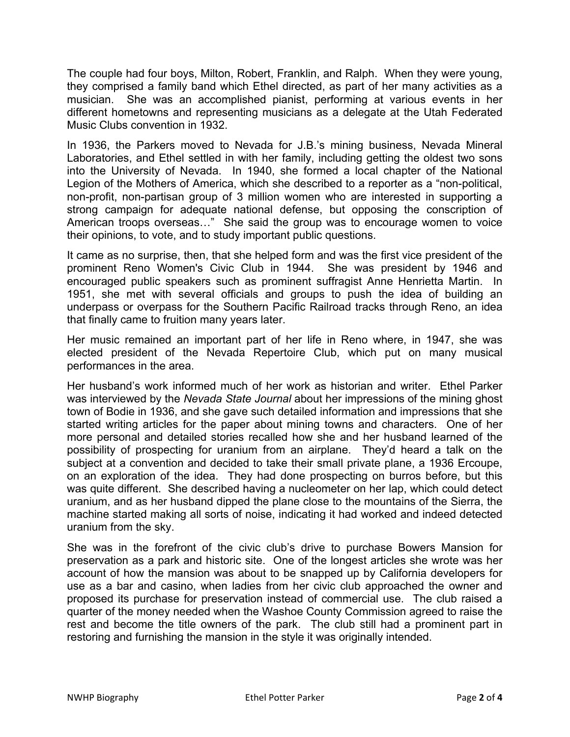The couple had four boys, Milton, Robert, Franklin, and Ralph. When they were young, they comprised a family band which Ethel directed, as part of her many activities as a musician. She was an accomplished pianist, performing at various events in her different hometowns and representing musicians as a delegate at the Utah Federated Music Clubs convention in 1932.

In 1936, the Parkers moved to Nevada for J.B.'s mining business, Nevada Mineral Laboratories, and Ethel settled in with her family, including getting the oldest two sons into the University of Nevada. In 1940, she formed a local chapter of the National Legion of the Mothers of America, which she described to a reporter as a "non-political, non-profit, non-partisan group of 3 million women who are interested in supporting a strong campaign for adequate national defense, but opposing the conscription of American troops overseas…" She said the group was to encourage women to voice their opinions, to vote, and to study important public questions.

It came as no surprise, then, that she helped form and was the first vice president of the prominent Reno Women's Civic Club in 1944. She was president by 1946 and encouraged public speakers such as prominent suffragist Anne Henrietta Martin. In 1951, she met with several officials and groups to push the idea of building an underpass or overpass for the Southern Pacific Railroad tracks through Reno, an idea that finally came to fruition many years later.

Her music remained an important part of her life in Reno where, in 1947, she was elected president of the Nevada Repertoire Club, which put on many musical performances in the area.

Her husband's work informed much of her work as historian and writer. Ethel Parker was interviewed by the *Nevada State Journal* about her impressions of the mining ghost town of Bodie in 1936, and she gave such detailed information and impressions that she started writing articles for the paper about mining towns and characters. One of her more personal and detailed stories recalled how she and her husband learned of the possibility of prospecting for uranium from an airplane. They'd heard a talk on the subject at a convention and decided to take their small private plane, a 1936 Ercoupe, on an exploration of the idea. They had done prospecting on burros before, but this was quite different. She described having a nucleometer on her lap, which could detect uranium, and as her husband dipped the plane close to the mountains of the Sierra, the machine started making all sorts of noise, indicating it had worked and indeed detected uranium from the sky.

She was in the forefront of the civic club's drive to purchase Bowers Mansion for preservation as a park and historic site. One of the longest articles she wrote was her account of how the mansion was about to be snapped up by California developers for use as a bar and casino, when ladies from her civic club approached the owner and proposed its purchase for preservation instead of commercial use. The club raised a quarter of the money needed when the Washoe County Commission agreed to raise the rest and become the title owners of the park. The club still had a prominent part in restoring and furnishing the mansion in the style it was originally intended.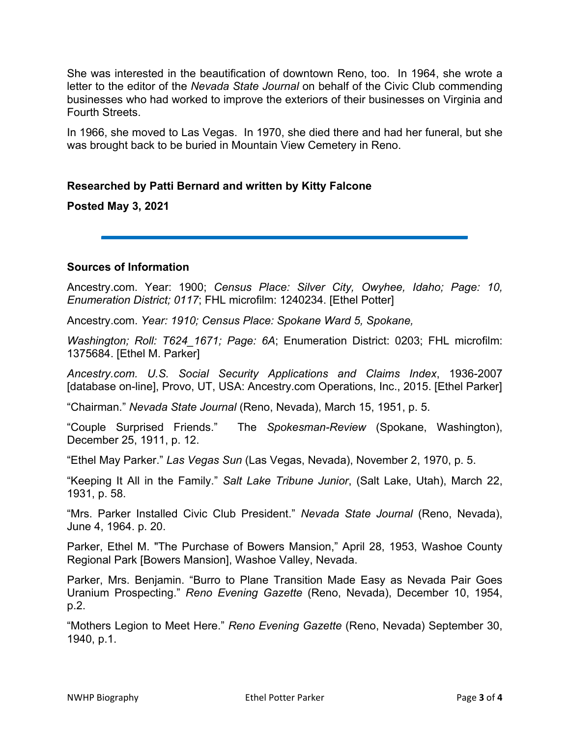She was interested in the beautification of downtown Reno, too. In 1964, she wrote a letter to the editor of the *Nevada State Journal* on behalf of the Civic Club commending businesses who had worked to improve the exteriors of their businesses on Virginia and Fourth Streets.

In 1966, she moved to Las Vegas. In 1970, she died there and had her funeral, but she was brought back to be buried in Mountain View Cemetery in Reno.

### **Researched by Patti Bernard and written by Kitty Falcone**

**Posted May 3, 2021** 

#### **Sources of Information**

Ancestry.com. Year: 1900; *Census Place: Silver City, Owyhee, Idaho; Page: 10, Enumeration District; 0117*; FHL microfilm: 1240234. [Ethel Potter]

Ancestry.com. *Year: 1910; Census Place: Spokane Ward 5, Spokane,* 

*Washington; Roll: T624\_1671; Page: 6A*; Enumeration District: 0203; FHL microfilm: 1375684. [Ethel M. Parker]

*Ancestry.com. U.S. Social Security Applications and Claims Index*, 1936-2007 [database on-line], Provo, UT, USA: Ancestry.com Operations, Inc., 2015. [Ethel Parker]

"Chairman." *Nevada State Journal* (Reno, Nevada), March 15, 1951, p. 5.

"Couple Surprised Friends." The *Spokesman-Review* (Spokane, Washington), December 25, 1911, p. 12.

"Ethel May Parker." *Las Vegas Sun* (Las Vegas, Nevada), November 2, 1970, p. 5.

"Keeping It All in the Family." *Salt Lake Tribune Junior*, (Salt Lake, Utah), March 22, 1931, p. 58.

"Mrs. Parker Installed Civic Club President." *Nevada State Journal* (Reno, Nevada), June 4, 1964. p. 20.

Parker, Ethel M. "The Purchase of Bowers Mansion," April 28, 1953, Washoe County Regional Park [Bowers Mansion], Washoe Valley, Nevada.

Parker, Mrs. Benjamin. "Burro to Plane Transition Made Easy as Nevada Pair Goes Uranium Prospecting." *Reno Evening Gazette* (Reno, Nevada), December 10, 1954, p.2.

"Mothers Legion to Meet Here." *Reno Evening Gazette* (Reno, Nevada) September 30, 1940, p.1.